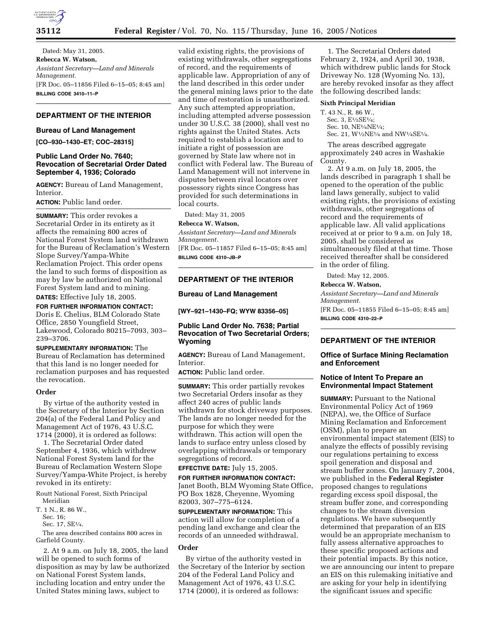

Dated: May 31, 2005. **Rebecca W. Watson,**  *Assistant Secretary—Land and Minerals Management.* [FR Doc. 05–11856 Filed 6–15–05; 8:45 am] **BILLING CODE 3410–11–P**

# **DEPARTMENT OF THE INTERIOR**

#### **Bureau of Land Management**

**[CO–930–1430–ET; COC–28315]** 

## **Public Land Order No. 7640; Revocation of Secretarial Order Dated September 4, 1936; Colorado**

**AGENCY:** Bureau of Land Management, Interior.

**ACTION:** Public land order.

**SUMMARY:** This order revokes a Secretarial Order in its entirety as it affects the remaining 800 acres of National Forest System land withdrawn for the Bureau of Reclamation's Western Slope Survey/Yampa-White Reclamation Project. This order opens the land to such forms of disposition as may by law be authorized on National Forest System land and to mining. **DATES:** Effective July 18, 2005.

**FOR FURTHER INFORMATION CONTACT:** Doris E. Chelius, BLM Colorado State Office, 2850 Youngfield Street, Lakewood, Colorado 80215–7093, 303– 239–3706.

**SUPPLEMENTARY INFORMATION:** The Bureau of Reclamation has determined that this land is no longer needed for reclamation purposes and has requested the revocation.

# **Order**

By virtue of the authority vested in the Secretary of the Interior by Section 204(a) of the Federal Land Policy and Management Act of 1976, 43 U.S.C. 1714 (2000), it is ordered as follows:

1. The Secretarial Order dated September 4, 1936, which withdrew National Forest System land for the Bureau of Reclamation Western Slope Survey/Yampa-White Project, is hereby revoked in its entirety:

Routt National Forest, Sixth Principal Meridian

T. 1 N., R. 86 W.,

Sec. 16;

Sec. 17, SE1⁄4.

The area described contains 800 acres in Garfield County.

2. At 9 a.m. on July 18, 2005, the land will be opened to such forms of disposition as may by law be authorized on National Forest System lands, including location and entry under the United States mining laws, subject to

valid existing rights, the provisions of existing withdrawals, other segregations of record, and the requirements of applicable law. Appropriation of any of the land described in this order under the general mining laws prior to the date and time of restoration is unauthorized. Any such attempted appropriation, including attempted adverse possession under 30 U.S.C. 38 (2000), shall vest no rights against the United States. Acts required to establish a location and to initiate a right of possession are governed by State law where not in conflict with Federal law. The Bureau of Land Management will not intervene in disputes between rival locators over possessory rights since Congress has provided for such determinations in local courts.

Dated: May 31, 2005

## **Rebecca W. Watson,**

*Assistant Secretary—Land and Minerals Management.*

[FR Doc. 05–11857 Filed 6–15–05; 8:45 am] **BILLING CODE 4310–JB–P**

# **DEPARTMENT OF THE INTERIOR**

#### **Bureau of Land Management**

**[WY–921–1430–FQ; WYW 83356–05]** 

# **Public Land Order No. 7638; Partial Revocation of Two Secretarial Orders; Wyoming**

**AGENCY:** Bureau of Land Management, Interior.

**ACTION:** Public land order.

**SUMMARY:** This order partially revokes two Secretarial Orders insofar as they affect 240 acres of public lands withdrawn for stock driveway purposes. The lands are no longer needed for the purpose for which they were withdrawn. This action will open the lands to surface entry unless closed by overlapping withdrawals or temporary segregations of record.

**EFFECTIVE DATE:** July 15, 2005.

**FOR FURTHER INFORMATION CONTACT:** Janet Booth, BLM Wyoming State Office, PO Box 1828, Cheyenne, Wyoming 82003, 307–775–6124.

**SUPPLEMENTARY INFORMATION:** This action will allow for completion of a pending land exchange and clear the records of an unneeded withdrawal.

# **Order**

By virtue of the authority vested in the Secretary of the Interior by section 204 of the Federal Land Policy and Management Act of 1976, 43 U.S.C. 1714 (2000), it is ordered as follows:

1. The Secretarial Orders dated February 2, 1924, and April 30, 1938, which withdrew public lands for Stock Driveway No. 128 (Wyoming No. 13), are hereby revoked insofar as they affect the following described lands:

# **Sixth Principal Meridian**

T. 43 N., R. 86 W., Sec. 3, E<sup>1</sup>/2SE<sup>1</sup>/<sub>4</sub>; Sec. 10, NE1⁄4NE1⁄4;

Sec. 21,  $\mathrm{W}^{\text{1}\!}/_{\text{2}}\mathrm{NE}^{\text{1}\!}/_{\text{4}}$  and  $\mathrm{N}\mathrm{W}^{\text{1}\!}/_{\text{4}}\mathrm{SE}^{\text{1}\!}/_{\text{4}}$ .

The areas described aggregate approximately 240 acres in Washakie County.

2. At 9 a.m. on July 18, 2005, the lands described in paragraph 1 shall be opened to the operation of the public land laws generally, subject to valid existing rights, the provisions of existing withdrawals, other segregations of record and the requirements of applicable law. All valid applications received at or prior to 9 a.m. on July 18, 2005, shall be considered as simultaneously filed at that time. Those received thereafter shall be considered in the order of filing.

Dated: May 12, 2005.

#### **Rebecca W. Watson,**

*Assistant Secretary—Land and Minerals Management.* [FR Doc. 05–11855 Filed 6–15–05; 8:45 am] **BILLING CODE 4310–22–P**

# **DEPARTMENT OF THE INTERIOR**

## **Office of Surface Mining Reclamation and Enforcement**

#### **Notice of Intent To Prepare an Environmental Impact Statement**

**SUMMARY: Pursuant to the National** Environmental Policy Act of 1969 (NEPA), we, the Office of Surface Mining Reclamation and Enforcement (OSM), plan to prepare an environmental impact statement (EIS) to analyze the effects of possibly revising our regulations pertaining to excess spoil generation and disposal and stream buffer zones. On January 7, 2004, we published in the **Federal Register** proposed changes to regulations regarding excess spoil disposal, the stream buffer zone, and corresponding changes to the stream diversion regulations. We have subsequently determined that preparation of an EIS would be an appropriate mechanism to fully assess alternative approaches to these specific proposed actions and their potential impacts. By this notice, we are announcing our intent to prepare an EIS on this rulemaking initiative and are asking for your help in identifying the significant issues and specific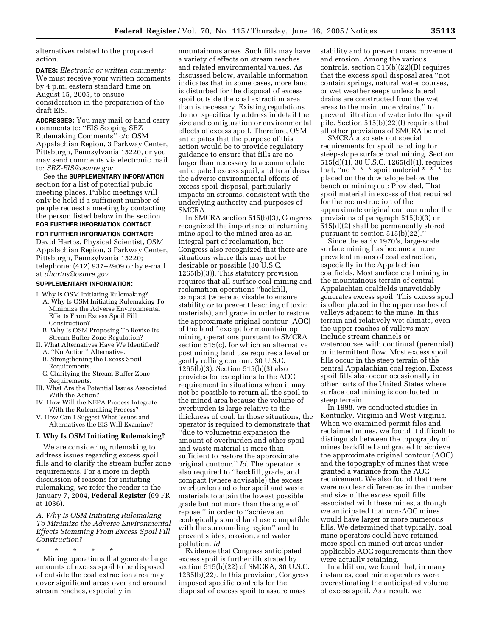alternatives related to the proposed action.

**DATES:** *Electronic or written comments:* We must receive your written comments by 4 p.m. eastern standard time on August 15, 2005, to ensure consideration in the preparation of the draft EIS.

**ADDRESSES:** You may mail or hand carry comments to: ''EIS Scoping SBZ Rulemaking Comments'' c/o OSM Appalachian Region, 3 Parkway Center, Pittsburgh, Pennsylvania 15220, or you may send comments via electronic mail to: *SBZ-EIS@osmre.gov*.

See the **SUPPLEMENTARY INFORMATION** section for a list of potential public meeting places. Public meetings will only be held if a sufficient number of people request a meeting by contacting the person listed below in the section **FOR FURTHER INFORMATION CONTACT**.

# **FOR FURTHER INFORMATION CONTACT:**

David Hartos, Physical Scientist, OSM Appalachian Region, 3 Parkway Center, Pittsburgh, Pennsylvania 15220; telephone: (412) 937–2909 or by e-mail at *dhartos@osmre.gov*.

#### **SUPPLEMENTARY INFORMATION:**

I. Why Is OSM Initiating Rulemaking?

- A. Why Is OSM Initiating Rulemaking To Minimize the Adverse Environmental Effects From Excess Spoil Fill Construction?
- B. Why Is OSM Proposing To Revise Its Stream Buffer Zone Regulation?
- II. What Alternatives Have We Identified? A. ''No Action'' Alternative.
	- B. Strengthening the Excess Spoil
		- Requirements.
	- C. Clarifying the Stream Buffer Zone Requirements.
- III. What Are the Potential Issues Associated With the Action?
- IV. How Will the NEPA Process Integrate With the Rulemaking Process?
- V. How Can I Suggest What Issues and Alternatives the EIS Will Examine?

#### **I. Why Is OSM Initiating Rulemaking?**

We are considering rulemaking to address issues regarding excess spoil fills and to clarify the stream buffer zone requirements. For a more in depth discussion of reasons for initiating rulemaking, we refer the reader to the January 7, 2004, **Federal Register** (69 FR at 1036).

*A. Why Is OSM Initiating Rulemaking To Minimize the Adverse Environmental Effects Stemming From Excess Spoil Fill Construction?*

\* \* \* \* \*

Mining operations that generate large amounts of excess spoil to be disposed of outside the coal extraction area may cover significant areas over and around stream reaches, especially in

mountainous areas. Such fills may have a variety of effects on stream reaches and related environmental values. As discussed below, available information indicates that in some cases, more land is disturbed for the disposal of excess spoil outside the coal extraction area than is necessary. Existing regulations do not specifically address in detail the size and configuration or environmental effects of excess spoil. Therefore, OSM anticipates that the purpose of this action would be to provide regulatory guidance to ensure that fills are no larger than necessary to accommodate anticipated excess spoil, and to address the adverse environmental effects of excess spoil disposal, particularly impacts on streams, consistent with the underlying authority and purposes of SMCRA.

In SMCRA section 515(b)(3), Congress recognized the importance of returning mine spoil to the mined area as an integral part of reclamation, but Congress also recognized that there are situations where this may not be desirable or possible (30 U.S.C. 1265(b)(3)). This statutory provision requires that all surface coal mining and reclamation operations ''backfill, compact (where advisable to ensure stability or to prevent leaching of toxic materials), and grade in order to restore the approximate original contour [AOC] of the land'' except for mountaintop mining operations pursuant to SMCRA section 515(c), for which an alternative post mining land use requires a level or gently rolling contour. 30 U.S.C. 1265(b)(3). Section 515(b)(3) also provides for exceptions to the AOC requirement in situations when it may not be possible to return all the spoil to the mined area because the volume of overburden is large relative to the thickness of coal. In those situations, the operator is required to demonstrate that ''due to volumetric expansion the amount of overburden and other spoil and waste material is more than sufficient to restore the approximate original contour.'' *Id*. The operator is also required to ''backfill, grade, and compact (where advisable) the excess overburden and other spoil and waste materials to attain the lowest possible grade but not more than the angle of repose,'' in order to ''achieve an ecologically sound land use compatible with the surrounding region'' and to prevent slides, erosion, and water pollution. *Id*.

Evidence that Congress anticipated excess spoil is further illustrated by section 515(b)(22) of SMCRA, 30 U.S.C. 1265(b)(22). In this provision, Congress imposed specific controls for the disposal of excess spoil to assure mass

stability and to prevent mass movement and erosion. Among the various controls, section 515(b)(22)(D) requires that the excess spoil disposal area ''not contain springs, natural water courses, or wet weather seeps unless lateral drains are constructed from the wet areas to the main underdrains,'' to prevent filtration of water into the spoil pile. Section 515(b)(22)(I) requires that all other provisions of SMCRA be met.

SMCRA also sets out special requirements for spoil handling for steep-slope surface coal mining. Section 515(d)(1), 30 U.S.C. 1265(d)(1), requires that, ''no \* \* \* spoil material \* \* \* be placed on the downslope below the bench or mining cut: Provided, That spoil material in excess of that required for the reconstruction of the approximate original contour under the provisions of paragraph 515(b)(3) or 515(d)(2) shall be permanently stored pursuant to section 515(b)(22).''

Since the early 1970's, large-scale surface mining has become a more prevalent means of coal extraction, especially in the Appalachian coalfields. Most surface coal mining in the mountainous terrain of central Appalachian coalfields unavoidably generates excess spoil. This excess spoil is often placed in the upper reaches of valleys adjacent to the mine. In this terrain and relatively wet climate, even the upper reaches of valleys may include stream channels or watercourses with continual (perennial) or intermittent flow. Most excess spoil fills occur in the steep terrain of the central Appalachian coal region. Excess spoil fills also occur occasionally in other parts of the United States where surface coal mining is conducted in steep terrain.

In 1998, we conducted studies in Kentucky, Virginia and West Virginia. When we examined permit files and reclaimed mines, we found it difficult to distinguish between the topography of mines backfilled and graded to achieve the approximate original contour (AOC) and the topography of mines that were granted a variance from the AOC requirement. We also found that there were no clear differences in the number and size of the excess spoil fills associated with these mines, although we anticipated that non-AOC mines would have larger or more numerous fills. We determined that typically, coal mine operators could have retained more spoil on mined-out areas under applicable AOC requirements than they were actually retaining.

In addition, we found that, in many instances, coal mine operators were overestimating the anticipated volume of excess spoil. As a result, we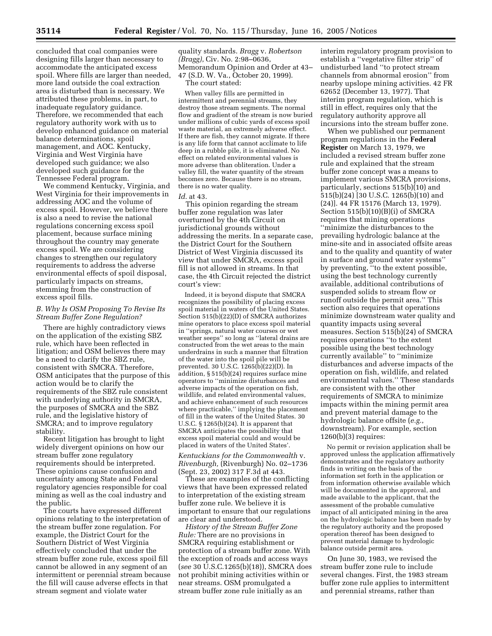concluded that coal companies were designing fills larger than necessary to accommodate the anticipated excess spoil. Where fills are larger than needed, more land outside the coal extraction area is disturbed than is necessary. We attributed these problems, in part, to inadequate regulatory guidance. Therefore, we recommended that each regulatory authority work with us to develop enhanced guidance on material balance determinations, spoil management, and AOC. Kentucky, Virginia and West Virginia have developed such guidance; we also developed such guidance for the Tennessee Federal program.

We commend Kentucky, Virginia, and West Virginia for their improvements in addressing AOC and the volume of excess spoil. However, we believe there is also a need to revise the national regulations concerning excess spoil placement, because surface mining throughout the country may generate excess spoil. We are considering changes to strengthen our regulatory requirements to address the adverse environmental effects of spoil disposal, particularly impacts on streams, stemming from the construction of excess spoil fills.

# *B. Why Is OSM Proposing To Revise Its Stream Buffer Zone Regulation?*

There are highly contradictory views on the application of the existing SBZ rule, which have been reflected in litigation; and OSM believes there may be a need to clarify the SBZ rule, consistent with SMCRA. Therefore, OSM anticipates that the purpose of this action would be to clarify the requirements of the SBZ rule consistent with underlying authority in SMCRA, the purposes of SMCRA and the SBZ rule, and the legislative history of SMCRA; and to improve regulatory stability.

Recent litigation has brought to light widely divergent opinions on how our stream buffer zone regulatory requirements should be interpreted. These opinions cause confusion and uncertainty among State and Federal regulatory agencies responsible for coal mining as well as the coal industry and the public.

The courts have expressed different opinions relating to the interpretation of the stream buffer zone regulation. For example, the District Court for the Southern District of West Virginia effectively concluded that under the stream buffer zone rule, excess spoil fill cannot be allowed in any segment of an intermittent or perennial stream because the fill will cause adverse effects in that stream segment and violate water

quality standards. *Bragg* v. *Robertson (Bragg)*, Civ. No. 2:98–0636, Memorandum Opinion and Order at 43– 47 (S.D. W. Va., October 20, 1999). The court stated:

When valley fills are permitted in

intermittent and perennial streams, they destroy those stream segments. The normal flow and gradient of the stream is now buried under millions of cubic yards of excess spoil waste material, an extremely adverse effect. If there are fish, they cannot migrate. If there is any life form that cannot acclimate to life deep in a rubble pile, it is eliminated. No effect on related environmental values is more adverse than obliteration. Under a valley fill, the water quantity of the stream becomes zero. Because there is no stream, there is no water quality.

#### *Id*. at 43.

This opinion regarding the stream buffer zone regulation was later overturned by the 4th Circuit on jurisdictional grounds without addressing the merits. In a separate case, the District Court for the Southern District of West Virginia discussed its view that under SMCRA, excess spoil fill is not allowed in streams. In that case, the 4th Circuit rejected the district court's view:

Indeed, it is beyond dispute that SMCRA recognizes the possibility of placing excess spoil material in waters of the United States. Section 515(b)(22)(D) of SMCRA authorizes mine operators to place excess spoil material in ''springs, natural water courses or wet weather seeps'' so long as ''lateral drains are constructed from the wet areas to the main underdrains in such a manner that filtration of the water into the spoil pile will be prevented. 30 U.S.C. 1265(b)(22)(D). In addition, § 515(b)(24) requires surface mine operators to ''minimize disturbances and adverse impacts of the operation on fish, wildlife, and related environmental values, and achieve enhancement of such resources where practicable,'' implying the placement of fill in the waters of the United States. 30 U.S.C. § 1265(b)(24). It is apparent that SMCRA anticipates the possibility that excess spoil material could and would be placed in waters of the United States'.

*Kentuckians for the Commonwealth* v. *Rivenburgh,* (Rivenburgh) No. 02–1736 (Sept. 23, 2002) 317 F.3d at 443.

These are examples of the conflicting views that have been expressed related to interpretation of the existing stream buffer zone rule. We believe it is important to ensure that our regulations are clear and understood.

*History of the Stream Buffer Zone Rule:* There are no provisions in SMCRA requiring establishment or protection of a stream buffer zone. With the exception of roads and access ways (*see* 30 U.S.C.1265(b)(18)), SMCRA does not prohibit mining activities within or near streams. OSM promulgated a stream buffer zone rule initially as an

interim regulatory program provision to establish a ''vegetative filter strip'' of undisturbed land ''to protect stream channels from abnormal erosion'' from nearby upslope mining activities. 42 FR 62652 (December 13, 1977). That interim program regulation, which is still in effect, requires only that the regulatory authority approve all incursions into the stream buffer zone.

When we published our permanent program regulations in the **Federal Register** on March 13, 1979, we included a revised stream buffer zone rule and explained that the stream buffer zone concept was a means to implement various SMCRA provisions, particularly, sections 515(b)(10) and 515(b)(24) [30 U.S.C. 1265(b)(10) and (24)]. 44 FR 15176 (March 13, 1979). Section 515(b)(10)(B)(i) of SMCRA requires that mining operations ''minimize the disturbances to the prevailing hydrologic balance at the mine-site and in associated offsite areas and to the quality and quantity of water in surface and ground water systems'' by preventing, ''to the extent possible, using the best technology currently available, additional contributions of suspended solids to stream flow or runoff outside the permit area.'' This section also requires that operations minimize downstream water quality and quantity impacts using several measures. Section 515(b)(24) of SMCRA requires operations ''to the extent possible using the best technology currently available'' to ''minimize disturbances and adverse impacts of the operation on fish, wildlife, and related environmental values.'' These standards are consistent with the other requirements of SMCRA to minimize impacts within the mining permit area and prevent material damage to the hydrologic balance offsite (*e.g.*, downstream). For example, section 1260(b)(3) requires:

No permit or revision application shall be approved unless the application affirmatively demonstrates and the regulatory authority finds in writing on the basis of the information set forth in the application or from information otherwise available which will be documented in the approval, and made available to the applicant, that the assessment of the probable cumulative impact of all anticipated mining in the area on the hydrologic balance has been made by the regulatory authority and the proposed operation thereof has been designed to prevent material damage to hydrologic balance outside permit area.

On June 30, 1983, we revised the stream buffer zone rule to include several changes. First, the 1983 stream buffer zone rule applies to intermittent and perennial streams, rather than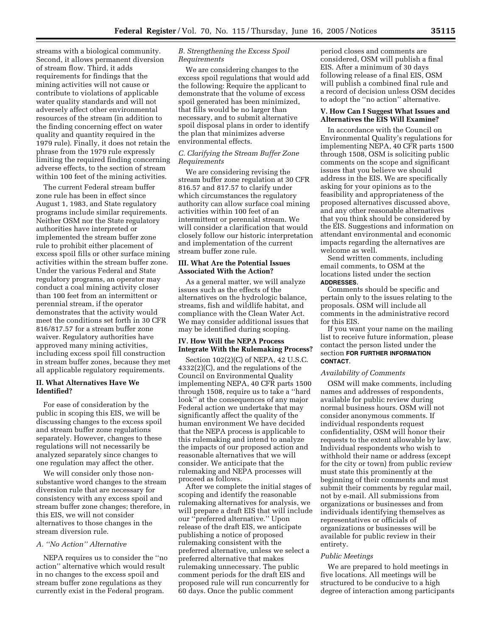streams with a biological community. Second, it allows permanent diversion of stream flow. Third, it adds requirements for findings that the mining activities will not cause or contribute to violations of applicable water quality standards and will not adversely affect other environmental resources of the stream (in addition to the finding concerning effect on water quality and quantity required in the 1979 rule). Finally, it does not retain the phrase from the 1979 rule expressly limiting the required finding concerning adverse effects, to the section of stream within 100 feet of the mining activities.

The current Federal stream buffer zone rule has been in effect since August 1, 1983, and State regulatory programs include similar requirements. Neither OSM nor the State regulatory authorities have interpreted or implemented the stream buffer zone rule to prohibit either placement of excess spoil fills or other surface mining activities within the stream buffer zone. Under the various Federal and State regulatory programs, an operator may conduct a coal mining activity closer than 100 feet from an intermittent or perennial stream, if the operator demonstrates that the activity would meet the conditions set forth in 30 CFR 816/817.57 for a stream buffer zone waiver. Regulatory authorities have approved many mining activities, including excess spoil fill construction in stream buffer zones, because they met all applicable regulatory requirements.

# **II. What Alternatives Have We Identified?**

For ease of consideration by the public in scoping this EIS, we will be discussing changes to the excess spoil and stream buffer zone regulations separately. However, changes to these regulations will not necessarily be analyzed separately since changes to one regulation may affect the other.

We will consider only those nonsubstantive word changes to the stream diversion rule that are necessary for consistency with any excess spoil and stream buffer zone changes; therefore, in this EIS, we will not consider alternatives to those changes in the stream diversion rule.

# *A. ''No Action'' Alternative*

NEPA requires us to consider the ''no action'' alternative which would result in no changes to the excess spoil and stream buffer zone regulations as they currently exist in the Federal program.

# *B. Strengthening the Excess Spoil Requirements*

We are considering changes to the excess spoil regulations that would add the following: Require the applicant to demonstrate that the volume of excess spoil generated has been minimized, that fills would be no larger than necessary, and to submit alternative spoil disposal plans in order to identify the plan that minimizes adverse environmental effects.

# *C. Clarifying the Stream Buffer Zone Requirements*

We are considering revising the stream buffer zone regulation at 30 CFR 816.57 and 817.57 to clarify under which circumstances the regulatory authority can allow surface coal mining activities within 100 feet of an intermittent or perennial stream. We will consider a clarification that would closely follow our historic interpretation and implementation of the current stream buffer zone rule.

## **III. What Are the Potential Issues Associated With the Action?**

As a general matter, we will analyze issues such as the effects of the alternatives on the hydrologic balance, streams, fish and wildlife habitat, and compliance with the Clean Water Act. We may consider additional issues that may be identified during scoping.

# **IV. How Will the NEPA Process Integrate With the Rulemaking Process?**

Section 102(2)(C) of NEPA, 42 U.S.C. 4332(2)(C), and the regulations of the Council on Environmental Quality implementing NEPA, 40 CFR parts 1500 through 1508, require us to take a ''hard look'' at the consequences of any major Federal action we undertake that may significantly affect the quality of the human environment We have decided that the NEPA process is applicable to this rulemaking and intend to analyze the impacts of our proposed action and reasonable alternatives that we will consider. We anticipate that the rulemaking and NEPA processes will proceed as follows.

After we complete the initial stages of scoping and identify the reasonable rulemaking alternatives for analysis, we will prepare a draft EIS that will include our ''preferred alternative.'' Upon release of the draft EIS, we anticipate publishing a notice of proposed rulemaking consistent with the preferred alternative, unless we select a preferred alternative that makes rulemaking unnecessary. The public comment periods for the draft EIS and proposed rule will run concurrently for 60 days. Once the public comment

period closes and comments are considered, OSM will publish a final EIS. After a minimum of 30 days following release of a final EIS, OSM will publish a combined final rule and a record of decision unless OSM decides to adopt the ''no action'' alternative.

# **V. How Can I Suggest What Issues and Alternatives the EIS Will Examine?**

In accordance with the Council on Environmental Quality's regulations for implementing NEPA, 40 CFR parts 1500 through 1508, OSM is soliciting public comments on the scope and significant issues that you believe we should address in the EIS. We are specifically asking for your opinions as to the feasibility and appropriateness of the proposed alternatives discussed above, and any other reasonable alternatives that you think should be considered by the EIS. Suggestions and information on attendant environmental and economic impacts regarding the alternatives are welcome as well.

Send written comments, including email comments, to OSM at the locations listed under the section **ADDRESSES**.

Comments should be specific and pertain only to the issues relating to the proposals. OSM will include all comments in the administrative record for this EIS.

If you want your name on the mailing list to receive future information, please contact the person listed under the section **FOR FURTHER INFORMATION CONTACT**.

# *Availability of Comments*

OSM will make comments, including names and addresses of respondents, available for public review during normal business hours. OSM will not consider anonymous comments. If individual respondents request confidentiality, OSM will honor their requests to the extent allowable by law. Individual respondents who wish to withhold their name or address (except for the city or town) from public review must state this prominently at the beginning of their comments and must submit their comments by regular mail, not by e-mail. All submissions from organizations or businesses and from individuals identifying themselves as representatives or officials of organizations or businesses will be available for public review in their entirety.

## *Public Meetings*

We are prepared to hold meetings in five locations. All meetings will be structured to be conducive to a high degree of interaction among participants